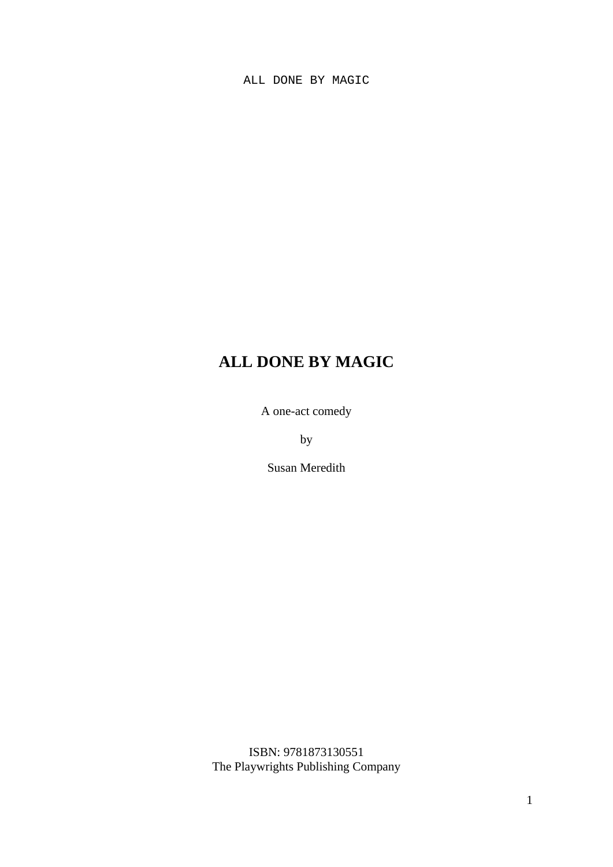# **ALL DONE BY MAGIC**

A one-act comedy

by

Susan Meredith

ISBN: 9781873130551 The Playwrights Publishing Company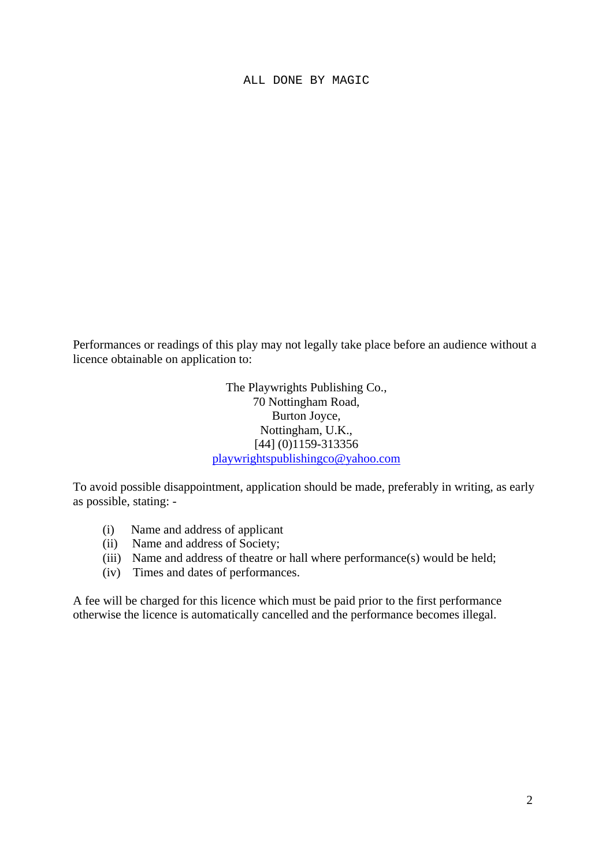Performances or readings of this play may not legally take place before an audience without a licence obtainable on application to:

> The Playwrights Publishing Co., 70 Nottingham Road, Burton Joyce, Nottingham, U.K., [44] (0)1159-313356 [playwrightspublishingco@yahoo.com](mailto:playwrightspublishingco@yahoo.com)

To avoid possible disappointment, application should be made, preferably in writing, as early as possible, stating: -

- (i) Name and address of applicant
- (ii) Name and address of Society;
- (iii) Name and address of theatre or hall where performance(s) would be held;
- (iv) Times and dates of performances.

A fee will be charged for this licence which must be paid prior to the first performance otherwise the licence is automatically cancelled and the performance becomes illegal.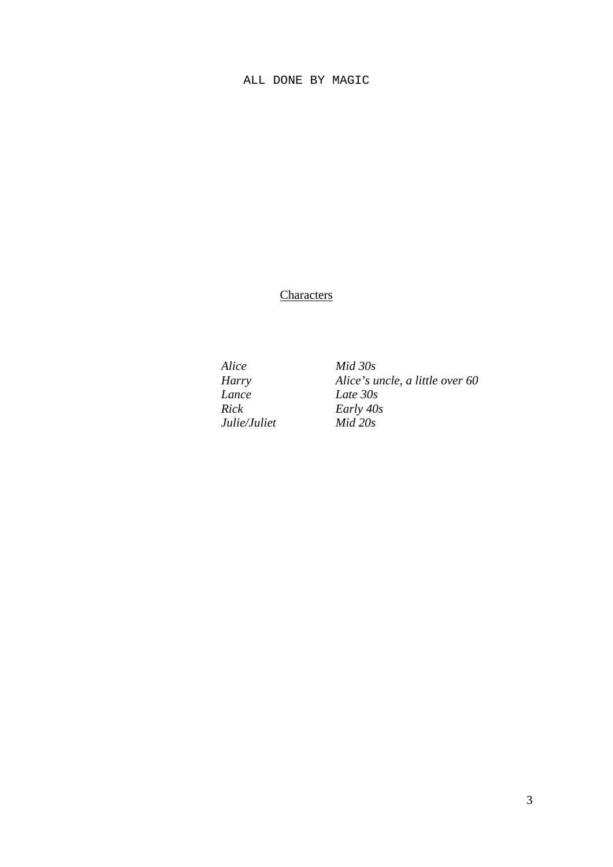**Characters** 

*Alice Mid 30s Lance Late 30s Rick Early 40s*  $Julie/Juliet$ 

*Harry Alice's uncle, a little over 60*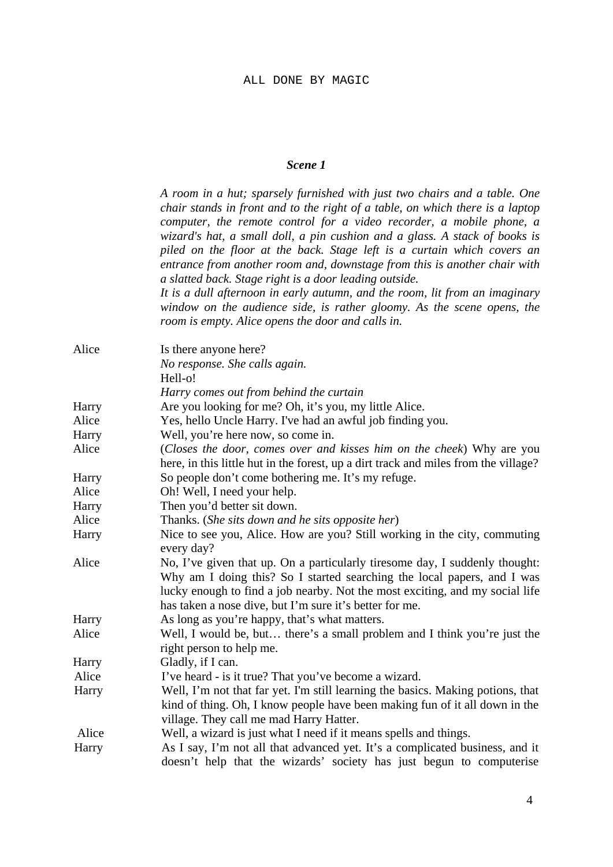### *Scene 1*

*A room in a hut; sparsely furnished with just two chairs and a table. One chair stands in front and to the right of a table, on which there is a laptop computer, the remote control for a video recorder, a mobile phone, a wizard's hat, a small doll, a pin cushion and a glass. A stack of books is piled on the floor at the back. Stage left is a curtain which covers an entrance from another room and, downstage from this is another chair with a slatted back. Stage right is a door leading outside.*

*It is a dull afternoon in early autumn, and the room, lit from an imaginary window on the audience side, is rather gloomy. As the scene opens, the room is empty. Alice opens the door and calls in.* 

| Alice | Is there anyone here?                                                                                                                                  |
|-------|--------------------------------------------------------------------------------------------------------------------------------------------------------|
|       | No response. She calls again.                                                                                                                          |
|       | Hell-o!                                                                                                                                                |
|       | Harry comes out from behind the curtain                                                                                                                |
| Harry | Are you looking for me? Oh, it's you, my little Alice.                                                                                                 |
| Alice | Yes, hello Uncle Harry. I've had an awful job finding you.                                                                                             |
| Harry | Well, you're here now, so come in.                                                                                                                     |
| Alice | (Closes the door, comes over and kisses him on the cheek) Why are you                                                                                  |
|       | here, in this little hut in the forest, up a dirt track and miles from the village?                                                                    |
| Harry | So people don't come bothering me. It's my refuge.                                                                                                     |
| Alice | Oh! Well, I need your help.                                                                                                                            |
| Harry | Then you'd better sit down.                                                                                                                            |
| Alice | Thanks. (She sits down and he sits opposite her)                                                                                                       |
| Harry | Nice to see you, Alice. How are you? Still working in the city, commuting<br>every day?                                                                |
|       |                                                                                                                                                        |
| Alice | No, I've given that up. On a particularly tiresome day, I suddenly thought:<br>Why am I doing this? So I started searching the local papers, and I was |
|       | lucky enough to find a job nearby. Not the most exciting, and my social life                                                                           |
|       | has taken a nose dive, but I'm sure it's better for me.                                                                                                |
| Harry | As long as you're happy, that's what matters.                                                                                                          |
| Alice | Well, I would be, but there's a small problem and I think you're just the                                                                              |
|       | right person to help me.                                                                                                                               |
| Harry | Gladly, if I can.                                                                                                                                      |
| Alice | I've heard - is it true? That you've become a wizard.                                                                                                  |
| Harry | Well, I'm not that far yet. I'm still learning the basics. Making potions, that                                                                        |
|       | kind of thing. Oh, I know people have been making fun of it all down in the                                                                            |
|       | village. They call me mad Harry Hatter.                                                                                                                |
| Alice | Well, a wizard is just what I need if it means spells and things.                                                                                      |
| Harry | As I say, I'm not all that advanced yet. It's a complicated business, and it                                                                           |
|       | doesn't help that the wizards' society has just begun to computerise                                                                                   |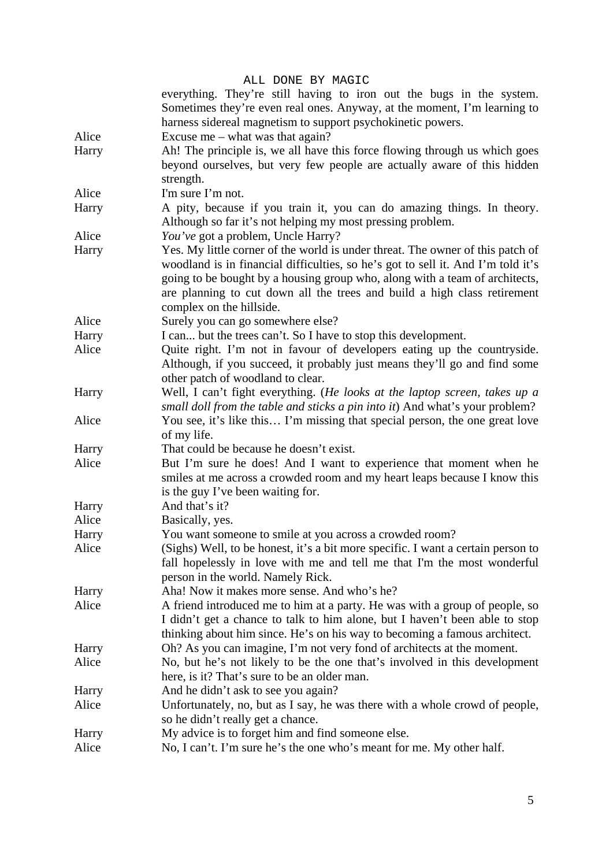|                | ALL DONE BY MAGIC                                                                |
|----------------|----------------------------------------------------------------------------------|
|                | everything. They're still having to iron out the bugs in the system.             |
|                | Sometimes they're even real ones. Anyway, at the moment, I'm learning to         |
|                | harness sidereal magnetism to support psychokinetic powers.                      |
| Alice          | Excuse me $-$ what was that again?                                               |
| Harry          | Ah! The principle is, we all have this force flowing through us which goes       |
|                | beyond ourselves, but very few people are actually aware of this hidden          |
|                | strength.                                                                        |
| Alice          | I'm sure I'm not.                                                                |
| Harry          | A pity, because if you train it, you can do amazing things. In theory.           |
|                | Although so far it's not helping my most pressing problem.                       |
| Alice          | You've got a problem, Uncle Harry?                                               |
| Harry          | Yes. My little corner of the world is under threat. The owner of this patch of   |
|                | woodland is in financial difficulties, so he's got to sell it. And I'm told it's |
|                | going to be bought by a housing group who, along with a team of architects,      |
|                | are planning to cut down all the trees and build a high class retirement         |
|                | complex on the hillside.                                                         |
| Alice          | Surely you can go somewhere else?                                                |
| Harry          | I can but the trees can't. So I have to stop this development.                   |
| Alice          | Quite right. I'm not in favour of developers eating up the countryside.          |
|                | Although, if you succeed, it probably just means they'll go and find some        |
|                | other patch of woodland to clear.                                                |
| Harry          | Well, I can't fight everything. (He looks at the laptop screen, takes up a       |
|                | small doll from the table and sticks a pin into it) And what's your problem?     |
| Alice          | You see, it's like this I'm missing that special person, the one great love      |
|                | of my life.                                                                      |
| Harry          | That could be because he doesn't exist.                                          |
| Alice          | But I'm sure he does! And I want to experience that moment when he               |
|                | smiles at me across a crowded room and my heart leaps because I know this        |
|                | is the guy I've been waiting for.                                                |
| Harry          | And that's it?                                                                   |
| Alice          | Basically, yes.                                                                  |
| Harry          | You want someone to smile at you across a crowded room?                          |
| Alice          | (Sighs) Well, to be honest, it's a bit more specific. I want a certain person to |
|                | fall hopelessly in love with me and tell me that I'm the most wonderful          |
|                | person in the world. Namely Rick.<br>Aha! Now it makes more sense. And who's he? |
| Harry<br>Alice | A friend introduced me to him at a party. He was with a group of people, so      |
|                | I didn't get a chance to talk to him alone, but I haven't been able to stop      |
|                | thinking about him since. He's on his way to becoming a famous architect.        |
| Harry          | Oh? As you can imagine, I'm not very fond of architects at the moment.           |
| Alice          | No, but he's not likely to be the one that's involved in this development        |
|                | here, is it? That's sure to be an older man.                                     |
| Harry          | And he didn't ask to see you again?                                              |
| Alice          | Unfortunately, no, but as I say, he was there with a whole crowd of people,      |
|                | so he didn't really get a chance.                                                |
| Harry          | My advice is to forget him and find someone else.                                |
| Alice          | No, I can't. I'm sure he's the one who's meant for me. My other half.            |
|                |                                                                                  |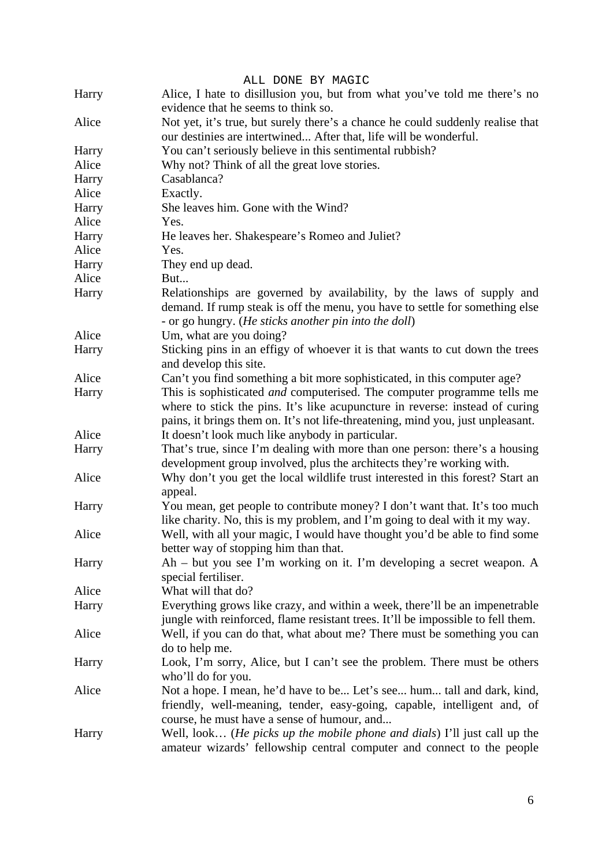|       | ALL DONE BY MAGIC                                                                                                                                                                                                                                 |
|-------|---------------------------------------------------------------------------------------------------------------------------------------------------------------------------------------------------------------------------------------------------|
| Harry | Alice, I hate to disillusion you, but from what you've told me there's no<br>evidence that he seems to think so.                                                                                                                                  |
| Alice | Not yet, it's true, but surely there's a chance he could suddenly realise that<br>our destinies are intertwined After that, life will be wonderful.                                                                                               |
| Harry | You can't seriously believe in this sentimental rubbish?                                                                                                                                                                                          |
| Alice | Why not? Think of all the great love stories.                                                                                                                                                                                                     |
| Harry | Casablanca?                                                                                                                                                                                                                                       |
| Alice | Exactly.                                                                                                                                                                                                                                          |
|       | She leaves him. Gone with the Wind?                                                                                                                                                                                                               |
| Harry |                                                                                                                                                                                                                                                   |
| Alice | Yes.                                                                                                                                                                                                                                              |
| Harry | He leaves her. Shakespeare's Romeo and Juliet?                                                                                                                                                                                                    |
| Alice | Yes.                                                                                                                                                                                                                                              |
| Harry | They end up dead.                                                                                                                                                                                                                                 |
| Alice | But                                                                                                                                                                                                                                               |
| Harry | Relationships are governed by availability, by the laws of supply and<br>demand. If rump steak is off the menu, you have to settle for something else<br>- or go hungry. (He sticks another pin into the doll)                                    |
| Alice | Um, what are you doing?                                                                                                                                                                                                                           |
| Harry | Sticking pins in an effigy of whoever it is that wants to cut down the trees<br>and develop this site.                                                                                                                                            |
| Alice | Can't you find something a bit more sophisticated, in this computer age?                                                                                                                                                                          |
| Harry | This is sophisticated <i>and</i> computerised. The computer programme tells me<br>where to stick the pins. It's like acupuncture in reverse: instead of curing<br>pains, it brings them on. It's not life-threatening, mind you, just unpleasant. |
| Alice | It doesn't look much like anybody in particular.                                                                                                                                                                                                  |
| Harry | That's true, since I'm dealing with more than one person: there's a housing<br>development group involved, plus the architects they're working with.                                                                                              |
| Alice | Why don't you get the local wildlife trust interested in this forest? Start an<br>appeal.                                                                                                                                                         |
| Harry | You mean, get people to contribute money? I don't want that. It's too much<br>like charity. No, this is my problem, and I'm going to deal with it my way.                                                                                         |
| Alice | Well, with all your magic, I would have thought you'd be able to find some<br>better way of stopping him than that.                                                                                                                               |
| Harry | $Ah$ – but you see I'm working on it. I'm developing a secret weapon. A<br>special fertiliser.                                                                                                                                                    |
| Alice | What will that do?                                                                                                                                                                                                                                |
| Harry | Everything grows like crazy, and within a week, there'll be an impenetrable<br>jungle with reinforced, flame resistant trees. It'll be impossible to fell them.                                                                                   |
| Alice | Well, if you can do that, what about me? There must be something you can<br>do to help me.                                                                                                                                                        |
| Harry | Look, I'm sorry, Alice, but I can't see the problem. There must be others<br>who'll do for you.                                                                                                                                                   |
| Alice | Not a hope. I mean, he'd have to be Let's see hum tall and dark, kind,<br>friendly, well-meaning, tender, easy-going, capable, intelligent and, of<br>course, he must have a sense of humour, and                                                 |
| Harry | Well, look ( <i>He picks up the mobile phone and dials</i> ) I'll just call up the<br>amateur wizards' fellowship central computer and connect to the people                                                                                      |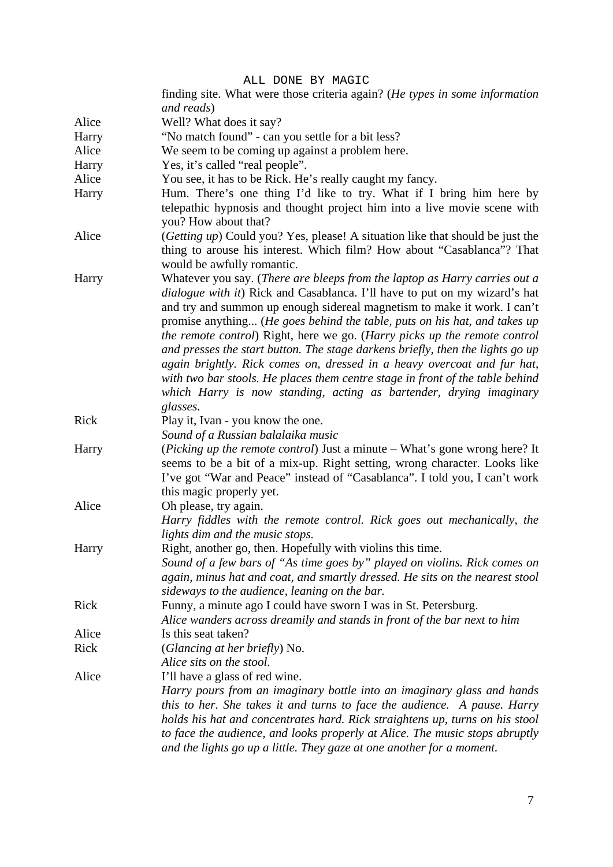|       | ALL DONE BY MAGIC                                                                                                                                                                                                                                                                                                                                                                                                                                                                                                                                                                                                                                                                                                              |
|-------|--------------------------------------------------------------------------------------------------------------------------------------------------------------------------------------------------------------------------------------------------------------------------------------------------------------------------------------------------------------------------------------------------------------------------------------------------------------------------------------------------------------------------------------------------------------------------------------------------------------------------------------------------------------------------------------------------------------------------------|
|       | finding site. What were those criteria again? (He types in some information                                                                                                                                                                                                                                                                                                                                                                                                                                                                                                                                                                                                                                                    |
|       | and reads)                                                                                                                                                                                                                                                                                                                                                                                                                                                                                                                                                                                                                                                                                                                     |
| Alice | Well? What does it say?                                                                                                                                                                                                                                                                                                                                                                                                                                                                                                                                                                                                                                                                                                        |
| Harry | "No match found" - can you settle for a bit less?                                                                                                                                                                                                                                                                                                                                                                                                                                                                                                                                                                                                                                                                              |
| Alice | We seem to be coming up against a problem here.                                                                                                                                                                                                                                                                                                                                                                                                                                                                                                                                                                                                                                                                                |
|       |                                                                                                                                                                                                                                                                                                                                                                                                                                                                                                                                                                                                                                                                                                                                |
| Harry | Yes, it's called "real people".                                                                                                                                                                                                                                                                                                                                                                                                                                                                                                                                                                                                                                                                                                |
| Alice | You see, it has to be Rick. He's really caught my fancy.                                                                                                                                                                                                                                                                                                                                                                                                                                                                                                                                                                                                                                                                       |
| Harry | Hum. There's one thing I'd like to try. What if I bring him here by<br>telepathic hypnosis and thought project him into a live movie scene with<br>you? How about that?                                                                                                                                                                                                                                                                                                                                                                                                                                                                                                                                                        |
| Alice | (Getting up) Could you? Yes, please! A situation like that should be just the<br>thing to arouse his interest. Which film? How about "Casablanca"? That<br>would be awfully romantic.                                                                                                                                                                                                                                                                                                                                                                                                                                                                                                                                          |
| Harry | Whatever you say. (There are bleeps from the laptop as Harry carries out a<br>dialogue with it) Rick and Casablanca. I'll have to put on my wizard's hat<br>and try and summon up enough sidereal magnetism to make it work. I can't<br>promise anything (He goes behind the table, puts on his hat, and takes up<br>the remote control) Right, here we go. (Harry picks up the remote control<br>and presses the start button. The stage darkens briefly, then the lights go up<br>again brightly. Rick comes on, dressed in a heavy overcoat and fur hat,<br>with two bar stools. He places them centre stage in front of the table behind<br>which Harry is now standing, acting as bartender, drying imaginary<br>glasses. |
| Rick  | Play it, Ivan - you know the one.<br>Sound of a Russian balalaika music                                                                                                                                                                                                                                                                                                                                                                                                                                                                                                                                                                                                                                                        |
| Harry | ( <i>Picking up the remote control</i> ) Just a minute – What's gone wrong here? It<br>seems to be a bit of a mix-up. Right setting, wrong character. Looks like<br>I've got "War and Peace" instead of "Casablanca". I told you, I can't work<br>this magic properly yet.                                                                                                                                                                                                                                                                                                                                                                                                                                                     |
| Alice | Oh please, try again.                                                                                                                                                                                                                                                                                                                                                                                                                                                                                                                                                                                                                                                                                                          |
|       | Harry fiddles with the remote control. Rick goes out mechanically, the<br>lights dim and the music stops.                                                                                                                                                                                                                                                                                                                                                                                                                                                                                                                                                                                                                      |
| Harry | Right, another go, then. Hopefully with violins this time.                                                                                                                                                                                                                                                                                                                                                                                                                                                                                                                                                                                                                                                                     |
|       | Sound of a few bars of "As time goes by" played on violins. Rick comes on<br>again, minus hat and coat, and smartly dressed. He sits on the nearest stool<br>sideways to the audience, leaning on the bar.                                                                                                                                                                                                                                                                                                                                                                                                                                                                                                                     |
| Rick  | Funny, a minute ago I could have sworn I was in St. Petersburg.<br>Alice wanders across dreamily and stands in front of the bar next to him                                                                                                                                                                                                                                                                                                                                                                                                                                                                                                                                                                                    |
| Alice | Is this seat taken?                                                                                                                                                                                                                                                                                                                                                                                                                                                                                                                                                                                                                                                                                                            |
| Rick  | (Glancing at her briefly) No.                                                                                                                                                                                                                                                                                                                                                                                                                                                                                                                                                                                                                                                                                                  |
|       | Alice sits on the stool.                                                                                                                                                                                                                                                                                                                                                                                                                                                                                                                                                                                                                                                                                                       |
| Alice | I'll have a glass of red wine.                                                                                                                                                                                                                                                                                                                                                                                                                                                                                                                                                                                                                                                                                                 |
|       | Harry pours from an imaginary bottle into an imaginary glass and hands                                                                                                                                                                                                                                                                                                                                                                                                                                                                                                                                                                                                                                                         |
|       | this to her. She takes it and turns to face the audience. A pause. Harry<br>holds his hat and concentrates hard. Rick straightens up, turns on his stool<br>to face the audience, and looks properly at Alice. The music stops abruptly<br>and the lights go up a little. They gaze at one another for a moment.                                                                                                                                                                                                                                                                                                                                                                                                               |